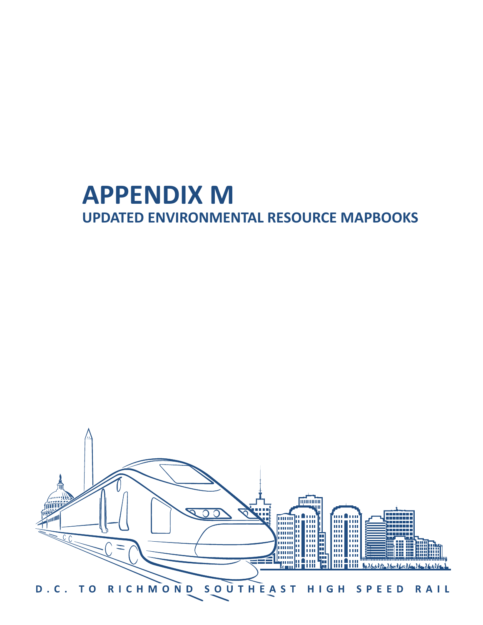# **APPENDIX M UPDATED ENVIRONMENTAL RESOURCE MAPBOOKS**

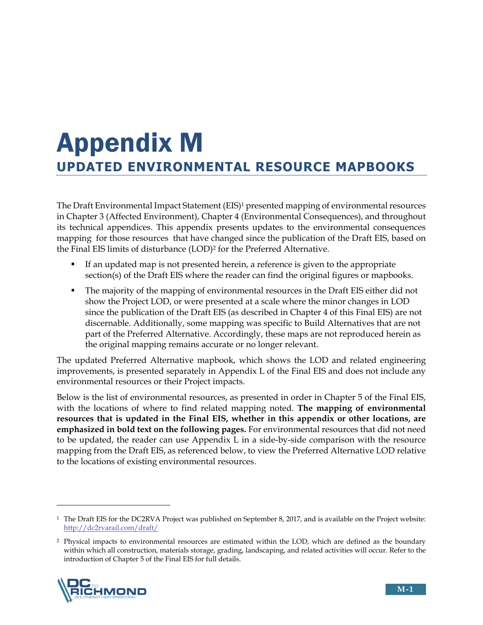# **UPDATED ENVIRONMENTAL RESOURCE MAPBOOKS** Appendix M

The Draft Environmental Impact Statement (EIS)1 presented mapping of environmental resources in Chapter 3 (Affected Environment), Chapter 4 (Environmental Consequences), and throughout its technical appendices. This appendix presents updates to the environmental consequences mapping for those resources that have changed since the publication of the Draft EIS, based on the Final EIS limits of disturbance (LOD)<sup>2</sup> for the Preferred Alternative.

- If an updated map is not presented herein, a reference is given to the appropriate section(s) of the Draft EIS where the reader can find the original figures or mapbooks.
- The majority of the mapping of environmental resources in the Draft EIS either did not show the Project LOD, or were presented at a scale where the minor changes in LOD since the publication of the Draft EIS (as described in Chapter 4 of this Final EIS) are not discernable. Additionally, some mapping was specific to Build Alternatives that are not part of the Preferred Alternative. Accordingly, these maps are not reproduced herein as the original mapping remains accurate or no longer relevant.

The updated Preferred Alternative mapbook, which shows the LOD and related engineering improvements, is presented separately in Appendix L of the Final EIS and does not include any environmental resources or their Project impacts.

Below is the list of environmental resources, as presented in order in Chapter 5 of the Final EIS, with the locations of where to find related mapping noted. **The mapping of environmental resources that is updated in the Final EIS, whether in this appendix or other locations, are emphasized in bold text on the following pages.** For environmental resources that did not need to be updated, the reader can use Appendix L in a side-by-side comparison with the resource mapping from the Draft EIS, as referenced below, to view the Preferred Alternative LOD relative to the locations of existing environmental resources.

<sup>2</sup> Physical impacts to environmental resources are estimated within the LOD, which are defined as the boundary within which all construction, materials storage, grading, landscaping, and related activities will occur. Refer to the introduction of Chapter 5 of the Final EIS for full details.



 $\overline{a}$ 

<sup>1</sup> The Draft EIS for the DC2RVA Project was published on September 8, 2017, and is available on the Project website: http://dc2rvarail.com/draft/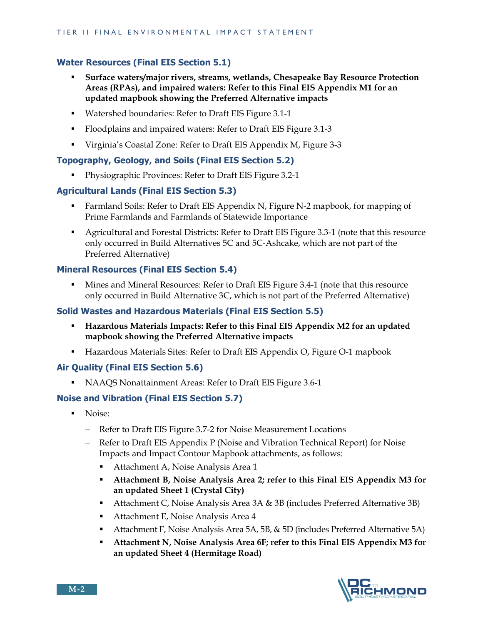# **Water Resources (Final EIS Section 5.1)**

- **Surface waters/major rivers, streams, wetlands, Chesapeake Bay Resource Protection Areas (RPAs), and impaired waters: Refer to this Final EIS Appendix M1 for an updated mapbook showing the Preferred Alternative impacts**
- Watershed boundaries: Refer to Draft EIS Figure 3.1-1
- Floodplains and impaired waters: Refer to Draft EIS Figure 3.1-3
- Virginia's Coastal Zone: Refer to Draft EIS Appendix M, Figure 3-3

#### **Topography, Geology, and Soils (Final EIS Section 5.2)**

**Physiographic Provinces: Refer to Draft EIS Figure 3.2-1** 

#### **Agricultural Lands (Final EIS Section 5.3)**

- Farmland Soils: Refer to Draft EIS Appendix N, Figure N-2 mapbook, for mapping of Prime Farmlands and Farmlands of Statewide Importance
- Agricultural and Forestal Districts: Refer to Draft EIS Figure 3.3-1 (note that this resource only occurred in Build Alternatives 5C and 5C-Ashcake, which are not part of the Preferred Alternative)

#### **Mineral Resources (Final EIS Section 5.4)**

 Mines and Mineral Resources: Refer to Draft EIS Figure 3.4-1 (note that this resource only occurred in Build Alternative 3C, which is not part of the Preferred Alternative)

#### **Solid Wastes and Hazardous Materials (Final EIS Section 5.5)**

- **Hazardous Materials Impacts: Refer to this Final EIS Appendix M2 for an updated mapbook showing the Preferred Alternative impacts**
- Hazardous Materials Sites: Refer to Draft EIS Appendix O, Figure O-1 mapbook

#### **Air Quality (Final EIS Section 5.6)**

NAAQS Nonattainment Areas: Refer to Draft EIS Figure 3.6-1

#### **Noise and Vibration (Final EIS Section 5.7)**

- **Noise** 
	- Refer to Draft EIS Figure 3.7-2 for Noise Measurement Locations
	- Refer to Draft EIS Appendix P (Noise and Vibration Technical Report) for Noise Impacts and Impact Contour Mapbook attachments, as follows:
		- Attachment A, Noise Analysis Area 1
		- **Attachment B, Noise Analysis Area 2; refer to this Final EIS Appendix M3 for an updated Sheet 1 (Crystal City)**
		- Attachment C, Noise Analysis Area 3A & 3B (includes Preferred Alternative 3B)
		- **Attachment E, Noise Analysis Area 4**
		- **Attachment F, Noise Analysis Area 5A, 5B, & 5D (includes Preferred Alternative 5A)**
		- **Attachment N, Noise Analysis Area 6F; refer to this Final EIS Appendix M3 for an updated Sheet 4 (Hermitage Road)**

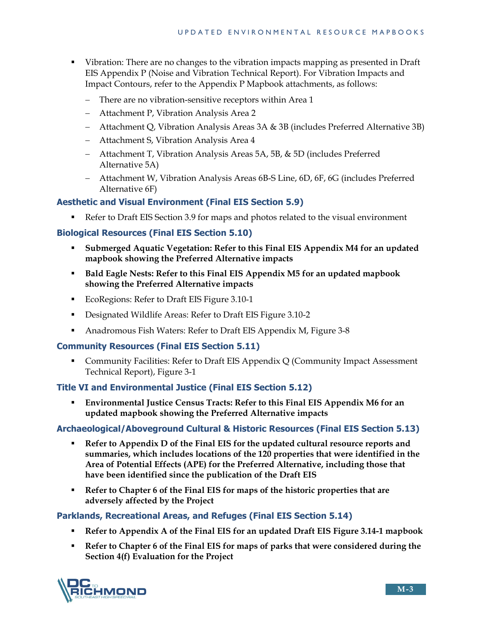- Vibration: There are no changes to the vibration impacts mapping as presented in Draft EIS Appendix P (Noise and Vibration Technical Report). For Vibration Impacts and Impact Contours, refer to the Appendix P Mapbook attachments, as follows:
	- There are no vibration-sensitive receptors within Area 1
	- Attachment P, Vibration Analysis Area 2
	- Attachment Q, Vibration Analysis Areas 3A & 3B (includes Preferred Alternative 3B)
	- Attachment S, Vibration Analysis Area 4
	- Attachment T, Vibration Analysis Areas 5A, 5B, & 5D (includes Preferred Alternative 5A)
	- Attachment W, Vibration Analysis Areas 6B-S Line, 6D, 6F, 6G (includes Preferred Alternative 6F)

# **Aesthetic and Visual Environment (Final EIS Section 5.9)**

Refer to Draft EIS Section 3.9 for maps and photos related to the visual environment

## **Biological Resources (Final EIS Section 5.10)**

- **Submerged Aquatic Vegetation: Refer to this Final EIS Appendix M4 for an updated mapbook showing the Preferred Alternative impacts**
- **Bald Eagle Nests: Refer to this Final EIS Appendix M5 for an updated mapbook showing the Preferred Alternative impacts**
- EcoRegions: Refer to Draft EIS Figure 3.10-1
- Designated Wildlife Areas: Refer to Draft EIS Figure 3.10-2
- Anadromous Fish Waters: Refer to Draft EIS Appendix M, Figure 3-8

#### **Community Resources (Final EIS Section 5.11)**

 Community Facilities: Refer to Draft EIS Appendix Q (Community Impact Assessment Technical Report), Figure 3-1

#### **Title VI and Environmental Justice (Final EIS Section 5.12)**

 **Environmental Justice Census Tracts: Refer to this Final EIS Appendix M6 for an updated mapbook showing the Preferred Alternative impacts** 

#### **Archaeological/Aboveground Cultural & Historic Resources (Final EIS Section 5.13)**

- **Refer to Appendix D of the Final EIS for the updated cultural resource reports and summaries, which includes locations of the 120 properties that were identified in the Area of Potential Effects (APE) for the Preferred Alternative, including those that have been identified since the publication of the Draft EIS**
- **Refer to Chapter 6 of the Final EIS for maps of the historic properties that are adversely affected by the Project**

#### **Parklands, Recreational Areas, and Refuges (Final EIS Section 5.14)**

- **Refer to Appendix A of the Final EIS for an updated Draft EIS Figure 3.14-1 mapbook**
- **Refer to Chapter 6 of the Final EIS for maps of parks that were considered during the Section 4(f) Evaluation for the Project**